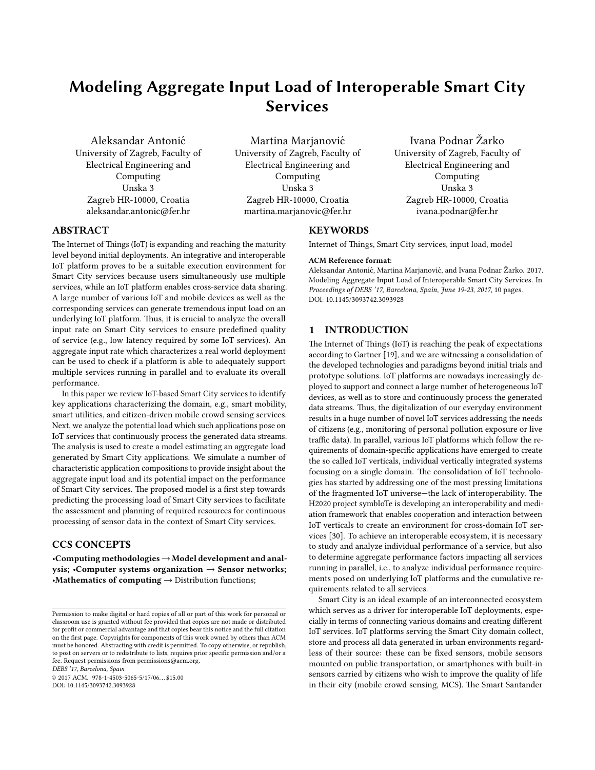# Modeling Aggregate Input Load of Interoperable Smart City Services

Aleksandar Antonic´ University of Zagreb, Faculty of Electrical Engineering and Computing Unska 3 Zagreb HR-10000, Croatia aleksandar.antonic@fer.hr

Martina Marianović University of Zagreb, Faculty of Electrical Engineering and Computing Unska 3 Zagreb HR-10000, Croatia martina.marjanovic@fer.hr

Ivana Podnar Žarko University of Zagreb, Faculty of Electrical Engineering and Computing Unska 3 Zagreb HR-10000, Croatia ivana.podnar@fer.hr

# ABSTRACT

The Internet of Things (IoT) is expanding and reaching the maturity level beyond initial deployments. An integrative and interoperable IoT platform proves to be a suitable execution environment for Smart City services because users simultaneously use multiple services, while an IoT platform enables cross-service data sharing. A large number of various IoT and mobile devices as well as the corresponding services can generate tremendous input load on an underlying IoT platform. Thus, it is crucial to analyze the overall input rate on Smart City services to ensure predefined quality of service (e.g., low latency required by some IoT services). An aggregate input rate which characterizes a real world deployment can be used to check if a platform is able to adequately support multiple services running in parallel and to evaluate its overall performance.

In this paper we review IoT-based Smart City services to identify key applications characterizing the domain, e.g., smart mobility, smart utilities, and citizen-driven mobile crowd sensing services. Next, we analyze the potential load which such applications pose on IoT services that continuously process the generated data streams. The analysis is used to create a model estimating an aggregate load generated by Smart City applications. We simulate a number of characteristic application compositions to provide insight about the aggregate input load and its potential impact on the performance of Smart City services. The proposed model is a first step towards predicting the processing load of Smart City services to facilitate the assessment and planning of required resources for continuous processing of sensor data in the context of Smart City services.

# CCS CONCEPTS

•Computing methodologies → Model development and analysis; •Computer systems organization  $\rightarrow$  Sensor networks; •Mathematics of computing  $\rightarrow$  Distribution functions;

DEBS '17, Barcelona, Spain

© 2017 ACM. 978-1-4503-5065-5/17/06. . . \$15.00 DOI: 10.1145/3093742.3093928

# **KEYWORDS**

Internet of Things, Smart City services, input load, model

#### ACM Reference format:

Aleksandar Antonić, Martina Marjanović, and Ivana Podnar Žarko. 2017. Modeling Aggregate Input Load of Interoperable Smart City Services. In Proceedings of DEBS '17, Barcelona, Spain, June 19-23, 2017, [10](#page-9-0) pages. DOI: 10.1145/3093742.3093928

# 1 INTRODUCTION

The Internet of Things (IoT) is reaching the peak of expectations according to Gartner [\[19\]](#page-8-0), and we are witnessing a consolidation of the developed technologies and paradigms beyond initial trials and prototype solutions. IoT platforms are nowadays increasingly deployed to support and connect a large number of heterogeneous IoT devices, as well as to store and continuously process the generated data streams. Thus, the digitalization of our everyday environment results in a huge number of novel IoT services addressing the needs of citizens (e.g., monitoring of personal pollution exposure or live traffic data). In parallel, various IoT platforms which follow the requirements of domain-specific applications have emerged to create the so called IoT verticals, individual vertically integrated systems focusing on a single domain. The consolidation of IoT technologies has started by addressing one of the most pressing limitations of the fragmented IoT universe-the lack of interoperability. The H2020 project symbIoTe is developing an interoperability and mediation framework that enables cooperation and interaction between IoT verticals to create an environment for cross-domain IoT services [\[30\]](#page-9-1). To achieve an interoperable ecosystem, it is necessary to study and analyze individual performance of a service, but also to determine aggregate performance factors impacting all services running in parallel, i.e., to analyze individual performance requirements posed on underlying IoT platforms and the cumulative requirements related to all services.

Smart City is an ideal example of an interconnected ecosystem which serves as a driver for interoperable IoT deployments, especially in terms of connecting various domains and creating different IoT services. IoT platforms serving the Smart City domain collect, store and process all data generated in urban environments regardless of their source: these can be fixed sensors, mobile sensors mounted on public transportation, or smartphones with built-in sensors carried by citizens who wish to improve the quality of life in their city (mobile crowd sensing, MCS). The Smart Santander

Permission to make digital or hard copies of all or part of this work for personal or classroom use is granted without fee provided that copies are not made or distributed for profit or commercial advantage and that copies bear this notice and the full citation on the first page. Copyrights for components of this work owned by others than ACM must be honored. Abstracting with credit is permitted. To copy otherwise, or republish, to post on servers or to redistribute to lists, requires prior specific permission and/or a fee. Request permissions from permissions@acm.org.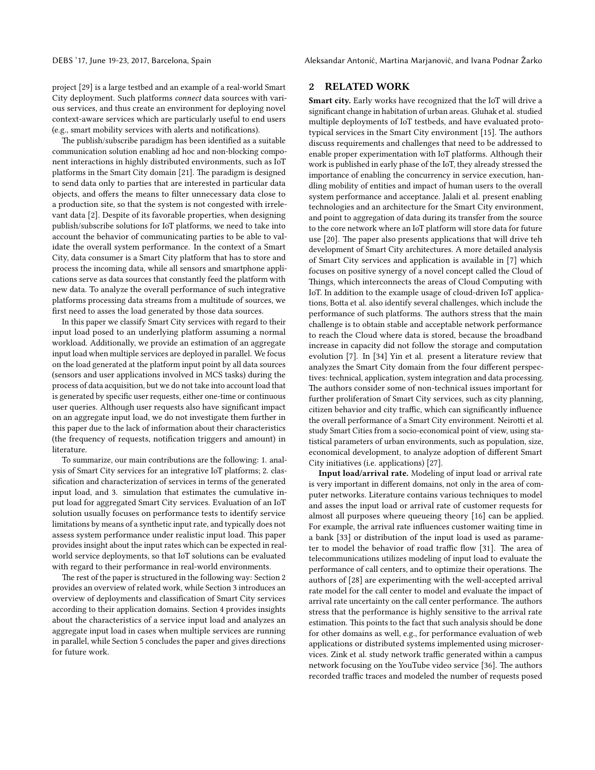DEBS '17, June 19-23, 2017, Barcelona, Spain Aleksandar Antonić, Martina Marjanović, and Ivana Podnar Žarko

project [\[29\]](#page-9-2) is a large testbed and an example of a real-world Smart City deployment. Such platforms connect data sources with various services, and thus create an environment for deploying novel context-aware services which are particularly useful to end users (e.g., smart mobility services with alerts and notifications).

The publish/subscribe paradigm has been identified as a suitable communication solution enabling ad hoc and non-blocking component interactions in highly distributed environments, such as IoT platforms in the Smart City domain [\[21\]](#page-9-3). The paradigm is designed to send data only to parties that are interested in particular data objects, and offers the means to filter unnecessary data close to a production site, so that the system is not congested with irrelevant data [\[2\]](#page-8-1). Despite of its favorable properties, when designing publish/subscribe solutions for IoT platforms, we need to take into account the behavior of communicating parties to be able to validate the overall system performance. In the context of a Smart City, data consumer is a Smart City platform that has to store and process the incoming data, while all sensors and smartphone applications serve as data sources that constantly feed the platform with new data. To analyze the overall performance of such integrative platforms processing data streams from a multitude of sources, we first need to asses the load generated by those data sources.

In this paper we classify Smart City services with regard to their input load posed to an underlying platform assuming a normal workload. Additionally, we provide an estimation of an aggregate input load when multiple services are deployed in parallel. We focus on the load generated at the platform input point by all data sources (sensors and user applications involved in MCS tasks) during the process of data acquisition, but we do not take into account load that is generated by specific user requests, either one-time or continuous user queries. Although user requests also have significant impact on an aggregate input load, we do not investigate them further in this paper due to the lack of information about their characteristics (the frequency of requests, notification triggers and amount) in literature.

To summarize, our main contributions are the following: 1. analysis of Smart City services for an integrative IoT platforms; 2. classification and characterization of services in terms of the generated input load, and 3. simulation that estimates the cumulative input load for aggregated Smart City services. Evaluation of an IoT solution usually focuses on performance tests to identify service limitations by means of a synthetic input rate, and typically does not assess system performance under realistic input load. This paper provides insight about the input rates which can be expected in realworld service deployments, so that IoT solutions can be evaluated with regard to their performance in real-world environments.

The rest of the paper is structured in the following way: Section [2](#page-1-0) provides an overview of related work, while Section [3](#page-2-0) introduces an overview of deployments and classification of Smart City services according to their application domains. Section [4](#page-4-0) provides insights about the characteristics of a service input load and analyzes an aggregate input load in cases when multiple services are running in parallel, while Section [5](#page-8-2) concludes the paper and gives directions for future work.

# <span id="page-1-0"></span>2 RELATED WORK

Smart city. Early works have recognized that the IoT will drive a significant change in habitation of urban areas. Gluhak et al. studied multiple deployments of IoT testbeds, and have evaluated proto-typical services in the Smart City environment [\[15\]](#page-8-3). The authors discuss requirements and challenges that need to be addressed to enable proper experimentation with IoT platforms. Although their work is published in early phase of the IoT, they already stressed the importance of enabling the concurrency in service execution, handling mobility of entities and impact of human users to the overall system performance and acceptance. Jalali et al. present enabling technologies and an architecture for the Smart City environment, and point to aggregation of data during its transfer from the source to the core network where an IoT platform will store data for future use [\[20\]](#page-9-4). The paper also presents applications that will drive teh development of Smart City architectures. A more detailed analysis of Smart City services and application is available in [\[7\]](#page-8-4) which focuses on positive synergy of a novel concept called the Cloud of Things, which interconnects the areas of Cloud Computing with IoT. In addition to the example usage of cloud-driven IoT applications, Botta et al. also identify several challenges, which include the performance of such platforms. The authors stress that the main challenge is to obtain stable and acceptable network performance to reach the Cloud where data is stored, because the broadband increase in capacity did not follow the storage and computation evolution [\[7\]](#page-8-4). In [\[34\]](#page-9-5) Yin et al. present a literature review that analyzes the Smart City domain from the four different perspectives: technical, application, system integration and data processing. The authors consider some of non-technical issues important for further proliferation of Smart City services, such as city planning, citizen behavior and city traffic, which can significantly influence the overall performance of a Smart City environment. Neirotti et al. study Smart Cities from a socio-economical point of view, using statistical parameters of urban environments, such as population, size, economical development, to analyze adoption of different Smart City initiatives (i.e. applications) [\[27\]](#page-9-6).

Input load/arrival rate. Modeling of input load or arrival rate is very important in different domains, not only in the area of computer networks. Literature contains various techniques to model and asses the input load or arrival rate of customer requests for almost all purposes where queueing theory [\[16\]](#page-8-5) can be applied. For example, the arrival rate influences customer waiting time in a bank [\[33\]](#page-9-7) or distribution of the input load is used as parame-ter to model the behavior of road traffic flow [\[31\]](#page-9-8). The area of telecommunications utilizes modeling of input load to evaluate the performance of call centers, and to optimize their operations. The authors of [\[28\]](#page-9-9) are experimenting with the well-accepted arrival rate model for the call center to model and evaluate the impact of arrival rate uncertainty on the call center performance. The authors stress that the performance is highly sensitive to the arrival rate estimation. This points to the fact that such analysis should be done for other domains as well, e.g., for performance evaluation of web applications or distributed systems implemented using microservices. Zink et al. study network traffic generated within a campus network focusing on the YouTube video service [\[36\]](#page-9-10). The authors recorded traffic traces and modeled the number of requests posed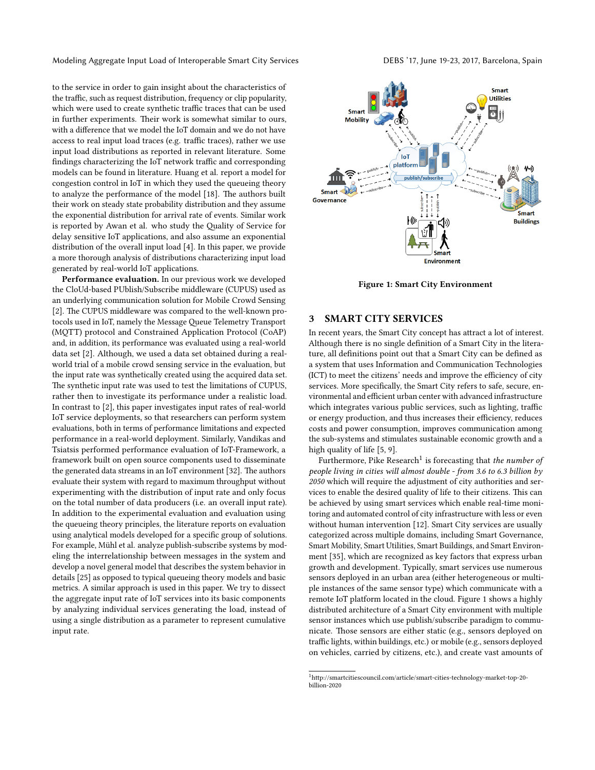Modeling Aggregate Input Load of Interoperable Smart City Services DEBS '17, June 19-23, 2017, Barcelona, Spain

to the service in order to gain insight about the characteristics of the traffic, such as request distribution, frequency or clip popularity, which were used to create synthetic traffic traces that can be used in further experiments. Their work is somewhat similar to ours, with a difference that we model the IoT domain and we do not have access to real input load traces (e.g. traffic traces), rather we use input load distributions as reported in relevant literature. Some findings characterizing the IoT network traffic and corresponding models can be found in literature. Huang et al. report a model for congestion control in IoT in which they used the queueing theory to analyze the performance of the model [\[18\]](#page-8-6). The authors built their work on steady state probability distribution and they assume the exponential distribution for arrival rate of events. Similar work is reported by Awan et al. who study the Quality of Service for delay sensitive IoT applications, and also assume an exponential distribution of the overall input load [\[4\]](#page-8-7). In this paper, we provide a more thorough analysis of distributions characterizing input load generated by real-world IoT applications.

Performance evaluation. In our previous work we developed the CloUd-based PUblish/Subscribe middleware (CUPUS) used as an underlying communication solution for Mobile Crowd Sensing [\[2\]](#page-8-1). The CUPUS middleware was compared to the well-known protocols used in IoT, namely the Message Queue Telemetry Transport (MQTT) protocol and Constrained Application Protocol (CoAP) and, in addition, its performance was evaluated using a real-world data set [\[2\]](#page-8-1). Although, we used a data set obtained during a realworld trial of a mobile crowd sensing service in the evaluation, but the input rate was synthetically created using the acquired data set. The synthetic input rate was used to test the limitations of CUPUS, rather then to investigate its performance under a realistic load. In contrast to [\[2\]](#page-8-1), this paper investigates input rates of real-world IoT service deployments, so that researchers can perform system evaluations, both in terms of performance limitations and expected performance in a real-world deployment. Similarly, Vandikas and Tsiatsis performed performance evaluation of IoT-Framework, a framework built on open source components used to disseminate the generated data streams in an IoT environment [\[32\]](#page-9-11). The authors evaluate their system with regard to maximum throughput without experimenting with the distribution of input rate and only focus on the total number of data producers (i.e. an overall input rate). In addition to the experimental evaluation and evaluation using the queueing theory principles, the literature reports on evaluation using analytical models developed for a specific group of solutions. For example, Mühl et al. analyze publish-subscribe systems by modeling the interrelationship between messages in the system and develop a novel general model that describes the system behavior in details [\[25\]](#page-9-12) as opposed to typical queueing theory models and basic metrics. A similar approach is used in this paper. We try to dissect the aggregate input rate of IoT services into its basic components by analyzing individual services generating the load, instead of using a single distribution as a parameter to represent cumulative input rate.

<span id="page-2-2"></span>

Figure 1: Smart City Environment

# <span id="page-2-0"></span>3 SMART CITY SERVICES

In recent years, the Smart City concept has attract a lot of interest. Although there is no single definition of a Smart City in the literature, all definitions point out that a Smart City can be defined as a system that uses Information and Communication Technologies (ICT) to meet the citizens' needs and improve the efficiency of city services. More specifically, the Smart City refers to safe, secure, environmental and efficient urban center with advanced infrastructure which integrates various public services, such as lighting, traffic or energy production, and thus increases their efficiency, reduces costs and power consumption, improves communication among the sub-systems and stimulates sustainable economic growth and a high quality of life [\[5,](#page-8-8) [9\]](#page-8-9).

Furthermore, Pike Research $^1$  $^1$  is forecasting that *the number of* people living in cities will almost double - from 3.6 to 6.3 billion by 2050 which will require the adjustment of city authorities and services to enable the desired quality of life to their citizens. This can be achieved by using smart services which enable real-time monitoring and automated control of city infrastructure with less or even without human intervention [\[12\]](#page-8-10). Smart City services are usually categorized across multiple domains, including Smart Governance, Smart Mobility, Smart Utilities, Smart Buildings, and Smart Environment [\[35\]](#page-9-13), which are recognized as key factors that express urban growth and development. Typically, smart services use numerous sensors deployed in an urban area (either heterogeneous or multiple instances of the same sensor type) which communicate with a remote IoT platform located in the cloud. Figure [1](#page-2-2) shows a highly distributed architecture of a Smart City environment with multiple sensor instances which use publish/subscribe paradigm to communicate. Those sensors are either static (e.g., sensors deployed on traffic lights, within buildings, etc.) or mobile (e.g., sensors deployed on vehicles, carried by citizens, etc.), and create vast amounts of

<span id="page-2-1"></span> $^1$ http://smartcitiescouncil.com/article/smart-cities-technology-market-top-20billion-2020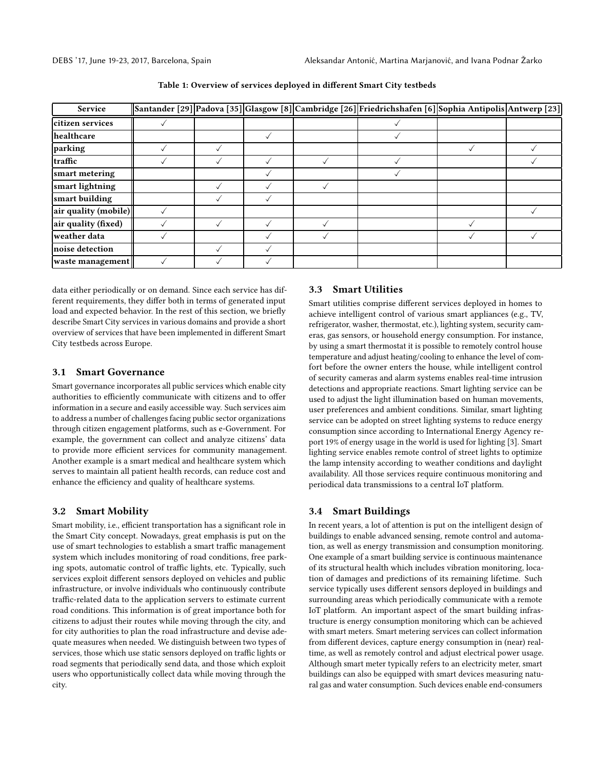<span id="page-3-0"></span>

| Service                                    |  |  | Santander [29] Padova [35] Glasgow [8] Cambridge [26] Friedrichshafen [6] Sophia Antipolis Antwerp [23] |  |
|--------------------------------------------|--|--|---------------------------------------------------------------------------------------------------------|--|
| citizen services                           |  |  |                                                                                                         |  |
| healthcare                                 |  |  |                                                                                                         |  |
| parking                                    |  |  |                                                                                                         |  |
| <b>traffic</b>                             |  |  |                                                                                                         |  |
| smart metering                             |  |  |                                                                                                         |  |
| smart lightning                            |  |  |                                                                                                         |  |
| smart building                             |  |  |                                                                                                         |  |
| $\left \text{air quality (mobile)}\right $ |  |  |                                                                                                         |  |
| air quality (fixed)                        |  |  |                                                                                                         |  |
| lweather data                              |  |  |                                                                                                         |  |
| noise detection                            |  |  |                                                                                                         |  |
| waste management                           |  |  |                                                                                                         |  |

# Table 1: Overview of services deployed in different Smart City testbeds

data either periodically or on demand. Since each service has different requirements, they differ both in terms of generated input load and expected behavior. In the rest of this section, we briefly describe Smart City services in various domains and provide a short overview of services that have been implemented in different Smart City testbeds across Europe.

#### 3.1 Smart Governance

Smart governance incorporates all public services which enable city authorities to efficiently communicate with citizens and to offer information in a secure and easily accessible way. Such services aim to address a number of challenges facing public sector organizations through citizen engagement platforms, such as e-Government. For example, the government can collect and analyze citizens' data to provide more efficient services for community management. Another example is a smart medical and healthcare system which serves to maintain all patient health records, can reduce cost and enhance the efficiency and quality of healthcare systems.

#### 3.2 Smart Mobility

Smart mobility, i.e., efficient transportation has a significant role in the Smart City concept. Nowadays, great emphasis is put on the use of smart technologies to establish a smart traffic management system which includes monitoring of road conditions, free parking spots, automatic control of traffic lights, etc. Typically, such services exploit different sensors deployed on vehicles and public infrastructure, or involve individuals who continuously contribute traffic-related data to the application servers to estimate current road conditions. This information is of great importance both for citizens to adjust their routes while moving through the city, and for city authorities to plan the road infrastructure and devise adequate measures when needed. We distinguish between two types of services, those which use static sensors deployed on traffic lights or road segments that periodically send data, and those which exploit users who opportunistically collect data while moving through the city.

# 3.3 Smart Utilities

Smart utilities comprise different services deployed in homes to achieve intelligent control of various smart appliances (e.g., TV, refrigerator, washer, thermostat, etc.), lighting system, security cameras, gas sensors, or household energy consumption. For instance, by using a smart thermostat it is possible to remotely control house temperature and adjust heating/cooling to enhance the level of comfort before the owner enters the house, while intelligent control of security cameras and alarm systems enables real-time intrusion detections and appropriate reactions. Smart lighting service can be used to adjust the light illumination based on human movements, user preferences and ambient conditions. Similar, smart lighting service can be adopted on street lighting systems to reduce energy consumption since according to International Energy Agency report 19% of energy usage in the world is used for lighting [\[3\]](#page-8-13). Smart lighting service enables remote control of street lights to optimize the lamp intensity according to weather conditions and daylight availability. All those services require continuous monitoring and periodical data transmissions to a central IoT platform.

## 3.4 Smart Buildings

In recent years, a lot of attention is put on the intelligent design of buildings to enable advanced sensing, remote control and automation, as well as energy transmission and consumption monitoring. One example of a smart building service is continuous maintenance of its structural health which includes vibration monitoring, location of damages and predictions of its remaining lifetime. Such service typically uses different sensors deployed in buildings and surrounding areas which periodically communicate with a remote IoT platform. An important aspect of the smart building infrastructure is energy consumption monitoring which can be achieved with smart meters. Smart metering services can collect information from different devices, capture energy consumption in (near) realtime, as well as remotely control and adjust electrical power usage. Although smart meter typically refers to an electricity meter, smart buildings can also be equipped with smart devices measuring natural gas and water consumption. Such devices enable end-consumers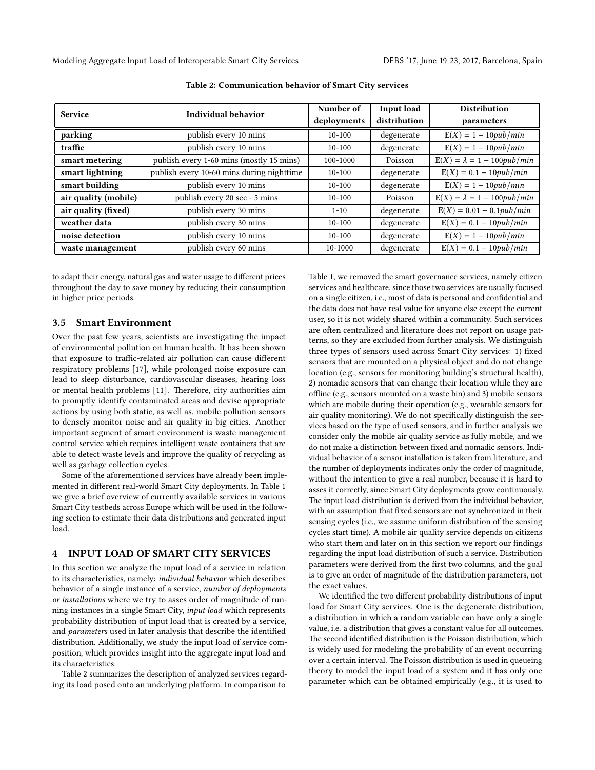<span id="page-4-1"></span>

| <b>Service</b>       | Individual behavior                       | Number of<br>deployments | Input load<br>distribution | <b>Distribution</b><br>parameters    |  |
|----------------------|-------------------------------------------|--------------------------|----------------------------|--------------------------------------|--|
| parking              | publish every 10 mins                     | $10 - 100$               | degenerate                 | $E(X) = 1 - 10pub/min$               |  |
| traffic              | publish every 10 mins                     | $10 - 100$               | degenerate                 | $E(X) = 1 - 10pub/min$               |  |
| smart metering       | publish every 1-60 mins (mostly 15 mins)  | 100-1000                 | Poisson                    | $E(X) = \lambda = 1 - 100 \mu b/min$ |  |
| smart lightning      | publish every 10-60 mins during nighttime | $10-100$                 | degenerate                 | $E(X) = 0.1 - 10 \rho u b/min$       |  |
| smart building       | publish every 10 mins                     | $10-100$                 | degenerate                 | $E(X) = 1 - 10pub/min$               |  |
| air quality (mobile) | publish every 20 sec - 5 mins             | $10 - 100$               | Poisson                    | $E(X) = \lambda = 1 - 100 \mu b/min$ |  |
| air quality (fixed)  | publish every 30 mins                     | $1 - 10$                 | degenerate                 | $E(X) = 0.01 - 0.1 \mu b / min$      |  |
| weather data         | publish every 30 mins                     | $10-100$                 | degenerate                 | $E(X) = 0.1 - 10 \rho u b/min$       |  |
| noise detection      | publish every 10 mins                     | $10 - 100$               | degenerate                 | $E(X) = 1 - 10pub/min$               |  |
| waste management     | publish every 60 mins                     | 10-1000                  | degenerate                 | $E(X) = 0.1 - 10 \rho u b/min$       |  |

Table 2: Communication behavior of Smart City services

to adapt their energy, natural gas and water usage to different prices throughout the day to save money by reducing their consumption in higher price periods.

## 3.5 Smart Environment

Over the past few years, scientists are investigating the impact of environmental pollution on human health. It has been shown that exposure to traffic-related air pollution can cause different respiratory problems [\[17\]](#page-8-14), while prolonged noise exposure can lead to sleep disturbance, cardiovascular diseases, hearing loss or mental health problems [\[11\]](#page-8-15). Therefore, city authorities aim to promptly identify contaminated areas and devise appropriate actions by using both static, as well as, mobile pollution sensors to densely monitor noise and air quality in big cities. Another important segment of smart environment is waste management control service which requires intelligent waste containers that are able to detect waste levels and improve the quality of recycling as well as garbage collection cycles.

Some of the aforementioned services have already been imple-mented in different real-world Smart City deployments. In Table [1](#page-3-0) we give a brief overview of currently available services in various Smart City testbeds across Europe which will be used in the following section to estimate their data distributions and generated input load.

# <span id="page-4-0"></span>4 INPUT LOAD OF SMART CITY SERVICES

In this section we analyze the input load of a service in relation to its characteristics, namely: individual behavior which describes behavior of a single instance of a service, number of deployments or installations where we try to asses order of magnitude of running instances in a single Smart City, input load which represents probability distribution of input load that is created by a service, and parameters used in later analysis that describe the identified distribution. Additionally, we study the input load of service composition, which provides insight into the aggregate input load and its characteristics.

Table [2](#page-4-1) summarizes the description of analyzed services regarding its load posed onto an underlying platform. In comparison to

Table [1,](#page-3-0) we removed the smart governance services, namely citizen services and healthcare, since those two services are usually focused on a single citizen, i.e., most of data is personal and confidential and the data does not have real value for anyone else except the current user, so it is not widely shared within a community. Such services are often centralized and literature does not report on usage patterns, so they are excluded from further analysis. We distinguish three types of sensors used across Smart City services: 1) fixed sensors that are mounted on a physical object and do not change location (e.g., sensors for monitoring building's structural health), 2) nomadic sensors that can change their location while they are offline (e.g., sensors mounted on a waste bin) and 3) mobile sensors which are mobile during their operation (e.g., wearable sensors for air quality monitoring). We do not specifically distinguish the services based on the type of used sensors, and in further analysis we consider only the mobile air quality service as fully mobile, and we do not make a distinction between fixed and nomadic sensors. Individual behavior of a sensor installation is taken from literature, and the number of deployments indicates only the order of magnitude, without the intention to give a real number, because it is hard to asses it correctly, since Smart City deployments grow continuously. The input load distribution is derived from the individual behavior, with an assumption that fixed sensors are not synchronized in their sensing cycles (i.e., we assume uniform distribution of the sensing cycles start time). A mobile air quality service depends on citizens who start them and later on in this section we report our findings regarding the input load distribution of such a service. Distribution parameters were derived from the first two columns, and the goal is to give an order of magnitude of the distribution parameters, not the exact values.

We identified the two different probability distributions of input load for Smart City services. One is the degenerate distribution, a distribution in which a random variable can have only a single value, i.e. a distribution that gives a constant value for all outcomes. The second identified distribution is the Poisson distribution, which is widely used for modeling the probability of an event occurring over a certain interval. The Poisson distribution is used in queueing theory to model the input load of a system and it has only one parameter which can be obtained empirically (e.g., it is used to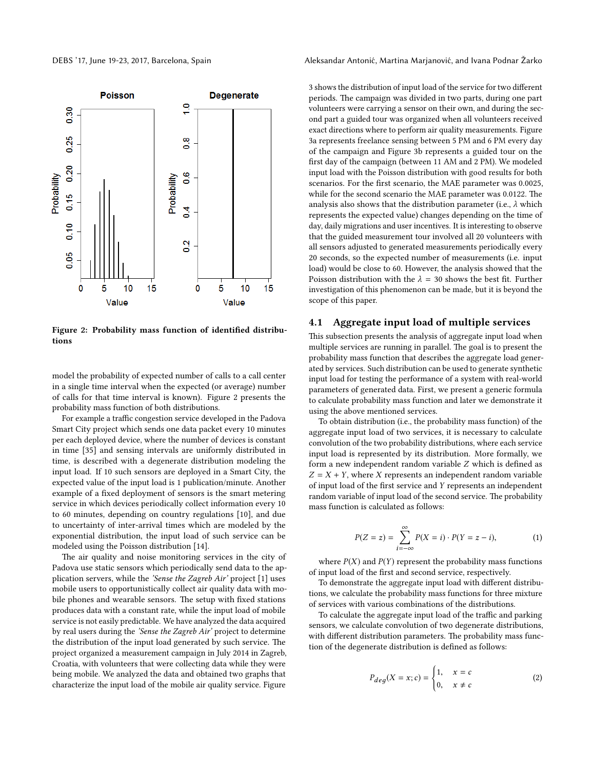<span id="page-5-0"></span>

Figure 2: Probability mass function of identified distributions

model the probability of expected number of calls to a call center in a single time interval when the expected (or average) number of calls for that time interval is known). Figure [2](#page-5-0) presents the probability mass function of both distributions.

For example a traffic congestion service developed in the Padova Smart City project which sends one data packet every 10 minutes per each deployed device, where the number of devices is constant in time [\[35\]](#page-9-13) and sensing intervals are uniformly distributed in time, is described with a degenerate distribution modeling the input load. If 10 such sensors are deployed in a Smart City, the expected value of the input load is 1 publication/minute. Another example of a fixed deployment of sensors is the smart metering service in which devices periodically collect information every 10 to 60 minutes, depending on country regulations [\[10\]](#page-8-16), and due to uncertainty of inter-arrival times which are modeled by the exponential distribution, the input load of such service can be modeled using the Poisson distribution [\[14\]](#page-8-17).

The air quality and noise monitoring services in the city of Padova use static sensors which periodically send data to the application servers, while the 'Sense the Zagreb Air' project [\[1\]](#page-8-18) uses mobile users to opportunistically collect air quality data with mobile phones and wearable sensors. The setup with fixed stations produces data with a constant rate, while the input load of mobile service is not easily predictable. We have analyzed the data acquired by real users during the 'Sense the Zagreb Air' project to determine the distribution of the input load generated by such service. The project organized a measurement campaign in July 2014 in Zagreb, Croatia, with volunteers that were collecting data while they were being mobile. We analyzed the data and obtained two graphs that characterize the input load of the mobile air quality service. Figure

DEBS '17, June 19-23, 2017, Barcelona, Spain Aleksandar Antonic, Martina Marjanović, and Ivana Podnar Žarko

[3](#page-6-0) shows the distribution of input load of the service for two different periods. The campaign was divided in two parts, during one part volunteers were carrying a sensor on their own, and during the second part a guided tour was organized when all volunteers received exact directions where to perform air quality measurements. Figure [3a](#page-6-0) represents freelance sensing between 5 PM and 6 PM every day of the campaign and Figure [3b](#page-6-0) represents a guided tour on the first day of the campaign (between 11 AM and 2 PM). We modeled input load with the Poisson distribution with good results for both scenarios. For the first scenario, the MAE parameter was 0.0025, while for the second scenario the MAE parameter was 0.0122. The analysis also shows that the distribution parameter (i.e.,  $\lambda$  which represents the expected value) changes depending on the time of day, daily migrations and user incentives. It is interesting to observe that the guided measurement tour involved all 20 volunteers with all sensors adjusted to generated measurements periodically every 20 seconds, so the expected number of measurements (i.e. input load) would be close to 60. However, the analysis showed that the Poisson distribution with the  $\lambda = 30$  shows the best fit. Further investigation of this phenomenon can be made, but it is beyond the scope of this paper.

## 4.1 Aggregate input load of multiple services

This subsection presents the analysis of aggregate input load when multiple services are running in parallel. The goal is to present the probability mass function that describes the aggregate load generated by services. Such distribution can be used to generate synthetic input load for testing the performance of a system with real-world parameters of generated data. First, we present a generic formula to calculate probability mass function and later we demonstrate it using the above mentioned services.

To obtain distribution (i.e., the probability mass function) of the aggregate input load of two services, it is necessary to calculate convolution of the two probability distributions, where each service input load is represented by its distribution. More formally, we form a new independent random variable  $Z$  which is defined as  $Z = X + Y$ , where X represents an independent random variable of input load of the first service and Y represents an independent random variable of input load of the second service. The probability mass function is calculated as follows:

<span id="page-5-1"></span>
$$
P(Z = z) = \sum_{i=-\infty}^{\infty} P(X = i) \cdot P(Y = z - i), \tag{1}
$$

where  $P(X)$  and  $P(Y)$  represent the probability mass functions of input load of the first and second service, respectively.

To demonstrate the aggregate input load with different distributions, we calculate the probability mass functions for three mixture of services with various combinations of the distributions.

To calculate the aggregate input load of the traffic and parking sensors, we calculate convolution of two degenerate distributions, with different distribution parameters. The probability mass function of the degenerate distribution is defined as follows:

$$
P_{deg}(X = x; c) = \begin{cases} 1, & x = c \\ 0, & x \neq c \end{cases}
$$
 (2)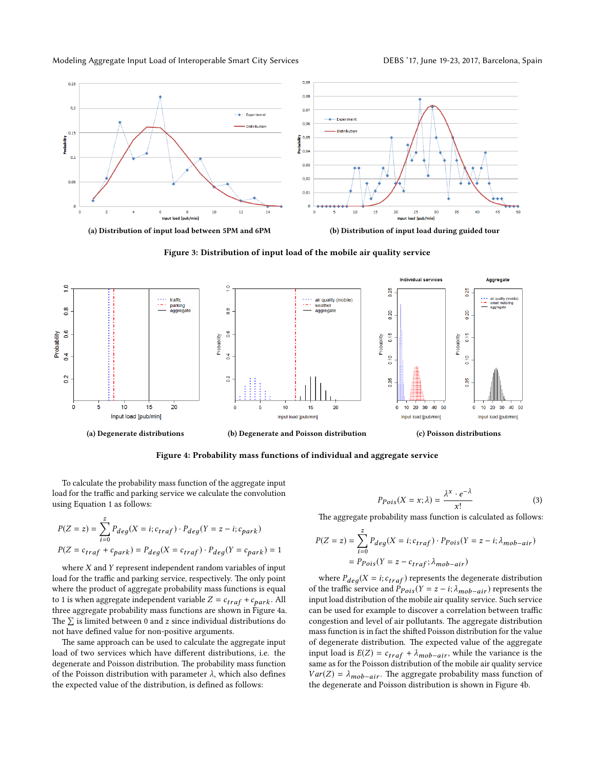<span id="page-6-0"></span>

Figure 3: Distribution of input load of the mobile air quality service

<span id="page-6-1"></span>

Figure 4: Probability mass functions of individual and aggregate service

To calculate the probability mass function of the aggregate input load for the traffic and parking service we calculate the convolution using Equation [1](#page-5-1) as follows:

$$
P(Z = z) = \sum_{i=0}^{z} P_{deg}(X = i; c_{traf}) \cdot P_{deg}(Y = z - i; c_{park})
$$
  

$$
P(Z = c_{traf} + c_{park}) = P_{deg}(X = c_{traf}) \cdot P_{deg}(Y = c_{park}) = 1
$$

where  $X$  and  $Y$  represent independent random variables of input load for the traffic and parking service, respectively. The only point where the product of aggregate probability mass functions is equal to 1 is when aggregate independent variable  $Z = c_{traf} + c_{park}$ . All three aggregate probability mass functions are shown in Figure [4a.](#page-6-1) The  $\Sigma$  is limited between 0 and z since individual distributions do<br>not have defined value for non-positive arguments not have defined value for non-positive arguments.

The same approach can be used to calculate the aggregate input load of two services which have different distributions, i.e. the degenerate and Poisson distribution. The probability mass function of the Poisson distribution with parameter  $\lambda$ , which also defines the expected value of the distribution, is defined as follows:

$$
P_{Pois}(X = x; \lambda) = \frac{\lambda^x \cdot e^{-\lambda}}{x!}
$$
 (3)

 $\begin{array}{c} \text{First:} \\ \text{if } \\ \text{if } \\ \text{if } \\ \text{if } \\ \text{if } \\ \text{if } \\ \text{if } \\ \text{if } \\ \text{if } \\ \text{if } \\ \text{if } \\ \text{if } \\ \text{if } \\ \text{if } \\ \text{if } \\ \text{if } \\ \text{if } \\ \text{if } \\ \text{if } \\ \text{if } \\ \text{if } \\ \text{if } \\ \text{if } \\ \text{if } \\ \text{if } \\ \text{if } \\ \text{if } \\ \text{if } \\ \text{if } \\ \text{if } \\ \text{if } \\ \text{if } \\ \text{if } \\ \text{if } \\ \text$ 

$$
P(Z = z) = \sum_{i=0}^{z} P_{deg}(X = i; c_{traf}) \cdot P_{Pois}(Y = z - i; \lambda_{mob-air})
$$

$$
= P_{Pois}(Y = z - c_{traf}; \lambda_{mob-air})
$$

where  $P_{deg}(X = i; c_{traf})$  represents the degenerate distribution of the traffic service and  $\tilde{P}_{Pois}(Y = z - i; \lambda_{mob-air})$  represents the input load distribution of the mobile air quality service. Such service can be used for example to discover a correlation between traffic congestion and level of air pollutants. The aggregate distribution mass function is in fact the shifted Poisson distribution for the value of degenerate distribution. The expected value of the aggregate input load is  $E(Z) = c_{traf} + \lambda_{mob-air}$ , while the variance is the same as for the Poisson distribution of the mobile air quality service  $Var(Z) = \lambda_{mob-air}$ . The aggregate probability mass function of the degenerate and Poisson distribution is shown in Figure [4b.](#page-6-1)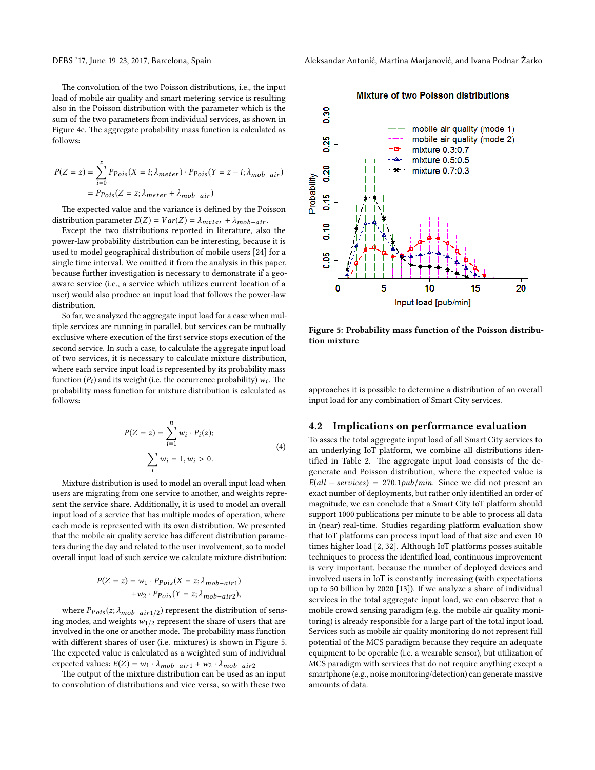The convolution of the two Poisson distributions, i.e., the input load of mobile air quality and smart metering service is resulting also in the Poisson distribution with the parameter which is the sum of the two parameters from individual services, as shown in Figure [4c.](#page-6-1) The aggregate probability mass function is calculated as follows:

$$
P(Z = z) = \sum_{i=0}^{z} P_{Pois}(X = i; \lambda_{meter}) \cdot P_{Pois}(Y = z - i; \lambda_{mob-air})
$$

$$
= P_{Pois}(Z = z; \lambda_{meter} + \lambda_{mob-air})
$$

The expected value and the variance is defined by the Poisson distribution parameter  $E(Z) = Var(Z) = \lambda_{meter} + \lambda_{mob-air}$ .

Except the two distributions reported in literature, also the power-law probability distribution can be interesting, because it is used to model geographical distribution of mobile users [\[24\]](#page-9-16) for a single time interval. We omitted it from the analysis in this paper, because further investigation is necessary to demonstrate if a geoaware service (i.e., a service which utilizes current location of a user) would also produce an input load that follows the power-law distribution.

So far, we analyzed the aggregate input load for a case when multiple services are running in parallel, but services can be mutually exclusive where execution of the first service stops execution of the second service. In such a case, to calculate the aggregate input load of two services, it is necessary to calculate mixture distribution, where each service input load is represented by its probability mass function  $(P_i)$  and its weight (i.e. the occurrence probability)  $w_i$ . The probability mass function for mixture distribution is calculated as probability mass function for mixture distribution is calculated as follows:

$$
P(Z = z) = \sum_{i=1}^{n} w_i \cdot P_i(z);
$$
  

$$
\sum_{i} w_i = 1, w_i > 0.
$$
 (4)

i Mixture distribution is used to model an overall input load when users are migrating from one service to another, and weights represent the service share. Additionally, it is used to model an overall input load of a service that has multiple modes of operation, where each mode is represented with its own distribution. We presented that the mobile air quality service has different distribution parameters during the day and related to the user involvement, so to model overall input load of such service we calculate mixture distribution:

$$
P(Z = z) = w_1 \cdot P_{Pois}(X = z; \lambda_{mob-air1})
$$

$$
+ w_2 \cdot P_{Pois}(Y = z; \lambda_{mob-air2}),
$$

where  $P_{Pois}(z; \lambda_{mob-air1/2})$  represent the distribution of sens-<br>i modes, and weights  $w_{i}$  corresent the share of users that are ing modes, and weights  $w_{1/2}$  represent the share of users that are<br>involved in the one or another mode. The probability mass function involved in the one or another mode. The probability mass function with different shares of user (i.e. mixtures) is shown in Figure [5.](#page-7-0) The expected value is calculated as a weighted sum of individual expected values:  $E(Z) = w_1 \cdot \lambda_{mob-air1} + w_2 \cdot \lambda_{mob-air2}$ 

The output of the mixture distribution can be used as an input to convolution of distributions and vice versa, so with these two

<span id="page-7-0"></span>

Figure 5: Probability mass function of the Poisson distribution mixture

approaches it is possible to determine a distribution of an overall input load for any combination of Smart City services.

#### 4.2 Implications on performance evaluation

To asses the total aggregate input load of all Smart City services to an underlying IoT platform, we combine all distributions iden-tified in Table [2.](#page-4-1) The aggregate input load consists of the degenerate and Poisson distribution, where the expected value is  $E(all - services) = 270.1pub/min$ . Since we did not present an exact number of deployments, but rather only identified an order of magnitude, we can conclude that a Smart City IoT platform should support 1000 publications per minute to be able to process all data in (near) real-time. Studies regarding platform evaluation show that IoT platforms can process input load of that size and even 10 times higher load [\[2,](#page-8-1) [32\]](#page-9-11). Although IoT platforms posses suitable techniques to process the identified load, continuous improvement is very important, because the number of deployed devices and involved users in IoT is constantly increasing (with expectations up to 50 billion by 2020 [\[13\]](#page-8-19)). If we analyze a share of individual services in the total aggregate input load, we can observe that a mobile crowd sensing paradigm (e.g. the mobile air quality monitoring) is already responsible for a large part of the total input load. Services such as mobile air quality monitoring do not represent full potential of the MCS paradigm because they require an adequate equipment to be operable (i.e. a wearable sensor), but utilization of MCS paradigm with services that do not require anything except a smartphone (e.g., noise monitoring/detection) can generate massive amounts of data.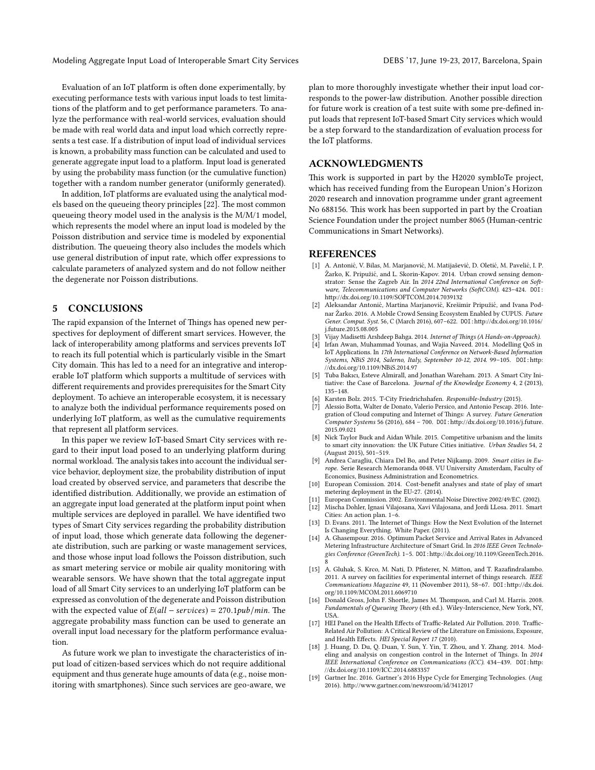Modeling Aggregate Input Load of Interoperable Smart City Services DEBS '17, June 19-23, 2017, Barcelona, Spain

Evaluation of an IoT platform is often done experimentally, by executing performance tests with various input loads to test limitations of the platform and to get performance parameters. To analyze the performance with real-world services, evaluation should be made with real world data and input load which correctly represents a test case. If a distribution of input load of individual services is known, a probability mass function can be calculated and used to generate aggregate input load to a platform. Input load is generated by using the probability mass function (or the cumulative function) together with a random number generator (uniformly generated).

In addition, IoT platforms are evaluated using the analytical mod-els based on the queueing theory principles [\[22\]](#page-9-17). The most common queueing theory model used in the analysis is the M/M/1 model, which represents the model where an input load is modeled by the Poisson distribution and service time is modeled by exponential distribution. The queueing theory also includes the models which use general distribution of input rate, which offer expressions to calculate parameters of analyzed system and do not follow neither the degenerate nor Poisson distributions.

#### <span id="page-8-2"></span>5 CONCLUSIONS

The rapid expansion of the Internet of Things has opened new perspectives for deployment of different smart services. However, the lack of interoperability among platforms and services prevents IoT to reach its full potential which is particularly visible in the Smart City domain. This has led to a need for an integrative and interoperable IoT platform which supports a multitude of services with different requirements and provides prerequisites for the Smart City deployment. To achieve an interoperable ecosystem, it is necessary to analyze both the individual performance requirements posed on underlying IoT platform, as well as the cumulative requirements that represent all platform services.

In this paper we review IoT-based Smart City services with regard to their input load posed to an underlying platform during normal workload. The analysis takes into account the individual service behavior, deployment size, the probability distribution of input load created by observed service, and parameters that describe the identified distribution. Additionally, we provide an estimation of an aggregate input load generated at the platform input point when multiple services are deployed in parallel. We have identified two types of Smart City services regarding the probability distribution of input load, those which generate data following the degenerate distribution, such are parking or waste management services, and those whose input load follows the Poisson distribution, such as smart metering service or mobile air quality monitoring with wearable sensors. We have shown that the total aggregate input load of all Smart City services to an underlying IoT platform can be expressed as convolution of the degenerate and Poisson distribution with the expected value of  $E(all - services) = 270.1pub/min$ . The aggregate probability mass function can be used to generate an overall input load necessary for the platform performance evaluation.

As future work we plan to investigate the characteristics of input load of citizen-based services which do not require additional equipment and thus generate huge amounts of data (e.g., noise monitoring with smartphones). Since such services are geo-aware, we

plan to more thoroughly investigate whether their input load corresponds to the power-law distribution. Another possible direction for future work is creation of a test suite with some pre-defined input loads that represent IoT-based Smart City services which would be a step forward to the standardization of evaluation process for the IoT platforms.

# ACKNOWLEDGMENTS

This work is supported in part by the H2020 symbIoTe project, which has received funding from the European Union's Horizon 2020 research and innovation programme under grant agreement No 688156. This work has been supported in part by the Croatian Science Foundation under the project number 8065 (Human-centric Communications in Smart Networks).

#### REFERENCES

- <span id="page-8-18"></span>[1] A. Antonić, V. Bilas, M. Marjanović, M. Matijašević, D. Oletić, M. Pavelić, I. P. Žarko, K. Pripužić, and L. Skorin-Kapov. 2014. Urban crowd sensing demonstrator: Sense the Zagreb Air. In 2014 22nd International Conference on Software, Telecommunications and Computer Networks (SoftCOM). 423-424. DOI: [hp://dx.doi.org/10.1109/SOFTCOM.2014.7039132](http://dx.doi.org/10.1109/SOFTCOM.2014.7039132)
- <span id="page-8-1"></span>[2] Aleksandar Antonić, Martina Marjanović, Krešimir Pripužić, and Ivana Podnar Žarko. 2016. A Mobile Crowd Sensing Ecosystem Enabled by CUPUS. Future Gener. Comput. Syst. 56, C (March 2016), 607-622. DOI: http://dx.doi.org/10.1016/ [j.future.2015.08.005](http://dx.doi.org/10.1016/j.future.2015.08.005)
- <span id="page-8-13"></span>Vijay Madisetti Arshdeep Bahga. 2014. Internet of Things (A Hands-on-Approach).
- <span id="page-8-7"></span>[4] Irfan Awan, Muhammad Younas, and Wajia Naveed. 2014. Modelling QoS in IoT Applications. In 17th International Conference on Network-Based Information Systems, NBiS 2014, Salerno, Italy, September 10-12, 2014. 99-105. DOI:http: [//dx.doi.org/10.1109/NBiS.2014.97](http://dx.doi.org/10.1109/NBiS.2014.97)
- <span id="page-8-8"></span>[5] Tuba Bakıcı, Esteve Almirall, and Jonathan Wareham. 2013. A Smart City Initiative: the Case of Barcelona. Journal of the Knowledge Economy 4, 2 (2013), 135–148.
- <span id="page-8-12"></span>[6] Karsten Bolz. 2015. T-City Friedrichshafen. Responsible-Industry (2015).
- <span id="page-8-4"></span>[7] Alessio Botta, Walter de Donato, Valerio Persico, and Antonio Pescap. 2016. Integration of Cloud computing and Internet of Things: A survey. Future Generation  $Computer Systems~56~(2016),~684-700.~D01:$ http://dx.doi.org/10.1016/j.future. [2015.09.021](http://dx.doi.org/10.1016/j.future.2015.09.021)
- <span id="page-8-11"></span>[8] Nick Taylor Buck and Aidan While. 2015. Competitive urbanism and the limits to smart city innovation: the UK Future Cities initiative. Urban Studies 54, 2 (August 2015), 501–519.
- <span id="page-8-9"></span>[9] Andrea Caragliu, Chiara Del Bo, and Peter Nijkamp. 2009. Smart cities in Europe. Serie Research Memoranda 0048. VU University Amsterdam, Faculty of Economics, Business Administration and Econometrics.
- <span id="page-8-16"></span>[10] European Comission. 2014. Cost-benefit analyses and state of play of smart metering deployment in the EU-27. (2014).
- <span id="page-8-15"></span><span id="page-8-10"></span>[11] European Commission. 2002. Environmental Noise Directive 2002/49/EC. (2002). [12] Mischa Dohler, Ignasi Vilajosana, Xavi Vilajosana, and Jordi LLosa. 2011. Smart
- <span id="page-8-19"></span>Cities: An action plan. 1–6. [13] D. Evans. 2011. The Internet of Things: How the Next Evolution of the Internet
- <span id="page-8-17"></span>Is Changing Everything. White Paper. (2011). [14] A. Ghasempour. 2016. Optimum Packet Service and Arrival Rates in Advanced Metering Infrastructure Architecture of Smart Grid. In 2016 IEEE Green Technologies Conference (GreenTech). 1-5. DOI: http://dx.doi.org/10.1109/GreenTech.2016.
- <span id="page-8-3"></span>[8](http://dx.doi.org/10.1109/GreenTech.2016.8) [15] A. Gluhak, S. Krco, M. Nati, D. Pfisterer, N. Mitton, and T. Razafindralambo. 2011. A survey on facilities for experimental internet of things research. IEEE Communications Magazine 49, 11 (November 2011), 58-67. DOI: http://dx.doi. [org/10.1109/MCOM.2011.6069710](http://dx.doi.org/10.1109/MCOM.2011.6069710)
- <span id="page-8-5"></span>[16] Donald Gross, John F. Shortle, James M. Thompson, and Carl M. Harris. 2008. Fundamentals of Queueing Theory (4th ed.). Wiley-Interscience, New York, NY, USA.
- <span id="page-8-14"></span>[17] HEI Panel on the Health Effects of Traffic-Related Air Pollution. 2010. Traffic-Related Air Pollution: A Critical Review of the Literature on Emissions, Exposure, and Health Effects. HEI Special Report 17 (2010).
- <span id="page-8-6"></span>[18] J. Huang, D. Du, Q. Duan, Y. Sun, Y. Yin, T. Zhou, and Y. Zhang. 2014. Modeling and analysis on congestion control in the Internet of Things. In 2014 IEEE International Conference on Communications (ICC). 434-439. DOI:http: [//dx.doi.org/10.1109/ICC.2014.6883357](http://dx.doi.org/10.1109/ICC.2014.6883357)
- <span id="page-8-0"></span>[19] Gartner Inc. 2016. Gartner's 2016 Hype Cycle for Emerging Technologies. (Aug 2016). http://www.gartner.com/newsroom/id/3412017